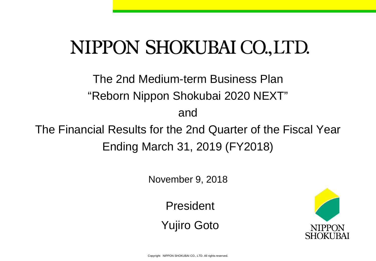# NIPPON SHOKUBAI CO., LTD.

The 2nd Medium-term Business Plan "Reborn Nippon Shokubai 2020 NEXT" and

The Financial Results for the 2nd Quarter of the Fiscal Year Ending March 31, 2019 (FY2018)

November 9, 2018

President

Yujiro Goto

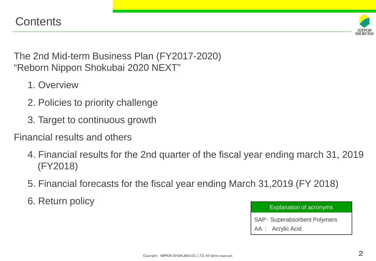

The 2nd Mid-term Business Plan (FY2017-2020) "Reborn Nippon Shokubai 2020 NEXT"

- 1. Overview
- 2. Policies to priority challenge
- 3. Target to continuous growth

Financial results and others

- 4. Financial results for the 2nd quarter of the fiscal year ending march 31, 2019 (FY2018)
- 5. Financial forecasts for the fiscal year ending March 31,2019 (FY 2018)
- 6. Return policy

#### Explanation of acronyms

SAP: Superabsorbent Polymers

AA : Acrylic Acid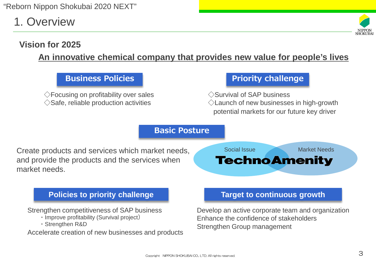1. Overview

# **Vision for 2025**

### **An innovative chemical company that provides new value for people's lives**

#### **Business Policies**

 $\Diamond$  Focusing on profitability over sales  $\Diamond$ Safe, reliable production activities

#### **Priority challenge**

◇Survival of SAP business ◇Launch of new businesses in high-growth potential markets for our future key driver

#### **Basic Posture**

Create products and services which market needs, and provide the products and the services when market needs.



#### **Policies to priority challenge**

Strengthen competitiveness of SAP business

- ・Improve profitability (Survival project)
- ・Strengthen R&D

Accelerate creation of new businesses and products

#### **Target to continuous growth**

Develop an active corporate team and organization Enhance the confidence of stakeholders Strengthen Group management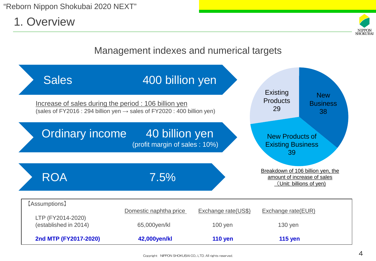1. Overview



## Management indexes and numerical targets

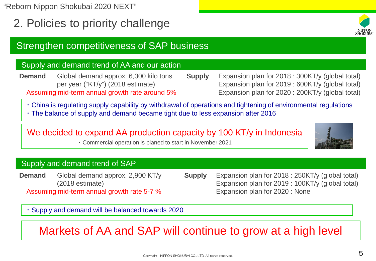2. Policies to priority challenge

# Strengthen competitiveness of SAP business

#### Supply and demand trend of AA and our action

**Demand** Global demand approx. 6,300 kilo tons per year ("KT/y") (2018 estimate) Assuming mid-term annual growth rate around 5%

**Supply** Expansion plan for 2018 : 300KT/y (global total) Expansion plan for 2019 : 600KT/y (global total) Expansion plan for 2020 : 200KT/y (global total)

・China is regulating supply capability by withdrawal of operations and tightening of environmental regulations ・The balance of supply and demand became tight due to less expansion after 2016

# We decided to expand AA production capacity by 100 KT/y in Indonesia

・Commercial operation is planed to start in November 2021

#### Supply and demand trend of SAP

**Demand** Global demand approx. 2,900 KT/y (2018 estimate) Assuming mid-term annual growth rate 5-7 % **Supply** Expansion plan for 2018 : 250KT/y (global total) Expansion plan for 2019 : 100KT/y (global total) Expansion plan for 2020 : None

・Supply and demand will be balanced towards 2020

# Markets of AA and SAP will continue to grow at a high level



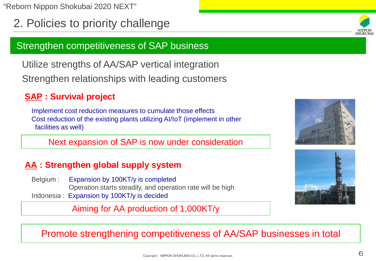2. Policies to priority challenge

# Strengthen competitiveness of SAP business

Utilize strengths of AA/SAP vertical integration

Strengthen relationships with leading customers

# **SAP : Survival project**

Implement cost reduction measures to cumulate those effects Cost reduction of the existing plants utilizing AI/IoT (implement in other facilities as well)

Next expansion of SAP is now under consideration

# **AA : Strengthen global supply system**

Belgium : Expansion by 100KT/y is completed Operation starts steadily, and operation rate will be high Indonesia : Expansion by 100KT/y is decided

Aiming for AA production of 1,000KT/y







### Promote strengthening competitiveness of AA/SAP businesses in total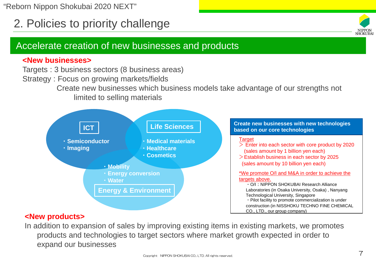# 2. Policies to priority challenge



#### **<New businesses>**

Targets : 3 business sectors (8 business areas)

Strategy : Focus on growing markets/fields

Create new businesses which business models take advantage of our strengths not limited to selling materials



#### **<New products>**

In addition to expansion of sales by improving existing items in existing markets, we promotes products and technologies to target sectors where market growth expected in order to expand our businesses

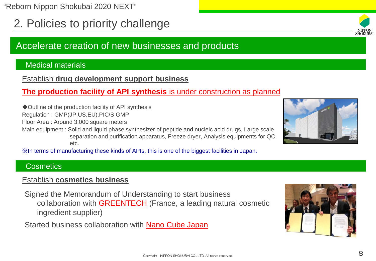2. Policies to priority challenge

# Accelerate creation of new businesses and products

#### Medical materials

Establish **drug development support business**

#### **The production facility of API synthesis** is under construction as planned

◆Outline of the production facility of API synthesis

Regulation : GMP(JP,US,EU),PIC/S GMP

Floor Area : Around 3,000 square meters

Main equipment : Solid and liquid phase synthesizer of peptide and nucleic acid drugs, Large scale separation and purification apparatus, Freeze dryer, Analysis equipments for QC etc.

※In terms of manufacturing these kinds of APIs, this is one of the biggest facilities in Japan.

#### **Cosmetics**

#### Establish **cosmetics business**

Signed the Memorandum of Understanding to start business collaboration with GREENTECH (France, a leading natural cosmetic ingredient supplier)

Started business collaboration with Nano Cube Japan





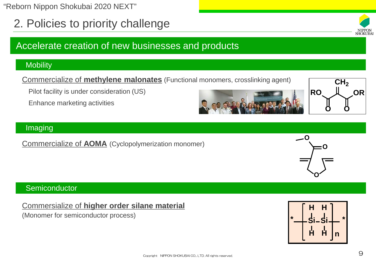$\Box$  Copyright NIPPON SHOKUBAI CO., LTD. All rights reserved.

"Reborn Nippon Shokubai 2020 NEXT"

2. Policies to priority challenge

# Accelerate creation of new businesses and products

#### **Mobility**

Commercialize of **methylene malonates** (Functional monomers, crosslinking agent)

Pilot facility is under consideration (US)

Enhance marketing activities

#### Imaging

Commercialize of **AOMA** (Cyclopolymerization monomer)

#### **Semiconductor**

#### Commersialize of **higher order silane material**

(Monomer for semiconductor process) **Similar state of the single state of the single state of the single state of the single state of the single state of the single state of the single state of the single state of the sing** 









**RO OR**

**O O**

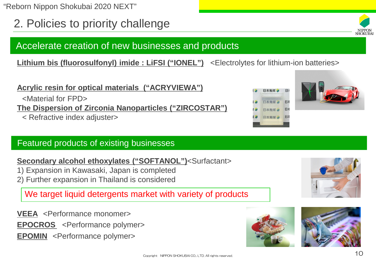2. Policies to priority challenge

# Accelerate creation of new businesses and products

**Lithium bis (fluorosulfonyl) imide : LiFSI ("IONEL")** <Electrolytes for lithium-ion batteries>

## **Acrylic resin for optical materials ("ACRYVIEWA")**

<Material for FPD>

**The Dispersion of Zirconia Nanoparticles ("ZIRCOSTAR")**

< Refractive index adjuster>

### Featured products of existing businesses

#### **Secondary alcohol ethoxylates ("SOFTANOL")<Surfactant>**

- 1) Expansion in Kawasaki, Japan is completed
- 2) Further expansion in Thailand is considered

We target liquid detergents market with variety of products

**VEEA** <Performance monomer>

**EPOCROS** <Performance polymer>

**EPOMIN** <Performance polymer>









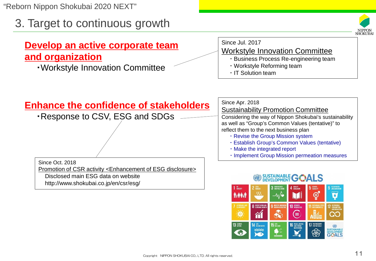3. Target to continuous growth

# **Develop an active corporate team and organization**

・Workstyle Innovation Committee



# Since Jul. 2017

- Workstyle Innovation Committee
	- ・Business Process Re-engineering team

 $\boldsymbol{\in}$ 

17 PARTMERSHI

83

SUSTAINABLE<br>DEVELOPMENT<br>**GOALS** 

- ・Workstyle Reforming team
- ・IT Solution team

 $\partial$ 

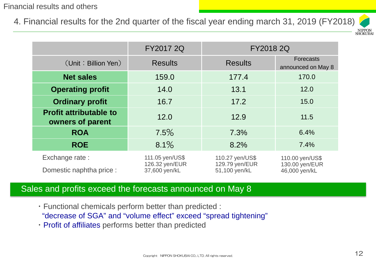#### Financial results and others

4. Financial results for the 2nd quarter of the fiscal year ending march 31, 2019 (FY2018)



|                                                   | FY2017 2Q                                          | <b>FY2018 2Q</b>                                   |                                                    |  |
|---------------------------------------------------|----------------------------------------------------|----------------------------------------------------|----------------------------------------------------|--|
| (Unit: Billion Yen)                               | <b>Results</b><br><b>Results</b>                   |                                                    | <b>Forecasts</b><br>announced on May 8             |  |
| <b>Net sales</b>                                  | 159.0                                              | 177.4<br>170.0                                     |                                                    |  |
| <b>Operating profit</b>                           | 14.0                                               | 13.1                                               | 12.0                                               |  |
| <b>Ordinary profit</b>                            | 16.7                                               | 17.2                                               | 15.0                                               |  |
| <b>Profit attributable to</b><br>owners of parent | 12.0                                               | 12.9                                               | 11.5                                               |  |
| <b>ROA</b>                                        | 7.5%                                               | 7.3%                                               | 6.4%                                               |  |
| <b>ROE</b>                                        | 8.1%                                               | 8.2%                                               | 7.4%                                               |  |
| Exchange rate:<br>Domestic naphtha price :        | 111.05 yen/US\$<br>126.32 yen/EUR<br>37,600 yen/kL | 110.27 yen/US\$<br>129.79 yen/EUR<br>51,100 yen/kL | 110.00 yen/US\$<br>130.00 yen/EUR<br>46,000 yen/kL |  |

#### Sales and profits exceed the forecasts announced on May 8

- ・Functional chemicals perform better than predicted : "decrease of SGA" and "volume effect" exceed "spread tightening"
- ・Profit of affiliates performs better than predicted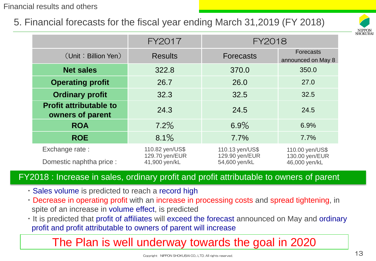Financial results and others

# 5. Financial forecasts for the fiscal year ending March 31,2019 (FY 2018)



|                                                   | <b>FY2017</b>                                      | FY2018                                             |                                                    |  |
|---------------------------------------------------|----------------------------------------------------|----------------------------------------------------|----------------------------------------------------|--|
| (Unit: Billion Yen)                               | <b>Results</b>                                     | <b>Forecasts</b>                                   | <b>Forecasts</b><br>announced on May 8             |  |
| <b>Net sales</b>                                  | 322.8                                              | 370.0                                              | 350.0                                              |  |
| <b>Operating profit</b>                           | 26.7                                               | 26.0                                               | 27.0                                               |  |
| <b>Ordinary profit</b>                            | 32.3                                               | 32.5                                               | 32.5                                               |  |
| <b>Profit attributable to</b><br>owners of parent | 24.3                                               | 24.5                                               | 24.5                                               |  |
| <b>ROA</b>                                        | 7.2%                                               | 6.9%                                               | 6.9%                                               |  |
| <b>ROE</b>                                        | 8.1%                                               | 7.7%                                               | 7.7%                                               |  |
| Exchange rate:<br>Domestic naphtha price :        | 110.82 yen/US\$<br>129.70 yen/EUR<br>41,900 yen/kL | 110.13 yen/US\$<br>129.90 yen/EUR<br>54,600 yen/kL | 110.00 yen/US\$<br>130.00 yen/EUR<br>46,000 yen/kL |  |

#### FY2018 : Increase in sales, ordinary profit and profit attributable to owners of parent

- ・Sales volume is predicted to reach a record high
- ・Decrease in operating profit with an increase in processing costs and spread tightening, in spite of an increase in volume effect, is predicted
- ・It is predicted that profit of affiliates will exceed the forecast announced on May and ordinary profit and profit attributable to owners of parent will increase

# The Plan is well underway towards the goal in 2020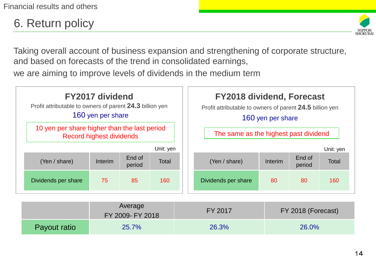# 6. Return policy



Taking overall account of business expansion and strengthening of corporate structure, and based on forecasts of the trend in consolidated earnings,

we are aiming to improve levels of dividends in the medium term

| <b>FY2017 dividend</b><br>Profit attributable to owners of parent 24.3 billion yen<br>160 yen per share |                          |        | <b>FY2018 dividend, Forecast</b><br>Profit attributable to owners of parent 24.5 billion yen<br>160 yen per share |                                       |                     |         |        |              |
|---------------------------------------------------------------------------------------------------------|--------------------------|--------|-------------------------------------------------------------------------------------------------------------------|---------------------------------------|---------------------|---------|--------|--------------|
| 10 yen per share higher than the last period                                                            | Record highest dividends |        |                                                                                                                   | The same as the highest past dividend |                     |         |        |              |
|                                                                                                         |                          | End of | Unit: yen                                                                                                         |                                       |                     |         | End of | Unit: yen    |
| (Yen / share)                                                                                           | Interim                  | period | <b>Total</b>                                                                                                      |                                       | (Yen / share)       | Interim | period | <b>Total</b> |
| Dividends per share                                                                                     | 75                       | 85     | 160                                                                                                               |                                       | Dividends per share | 80      | 80     | 160          |

|              | Average<br>FY 2009- FY 2018 | FY 2017 | FY 2018 (Forecast) |
|--------------|-----------------------------|---------|--------------------|
| Payout ratio | 25.7%                       | 26.3%   | 26.0%              |